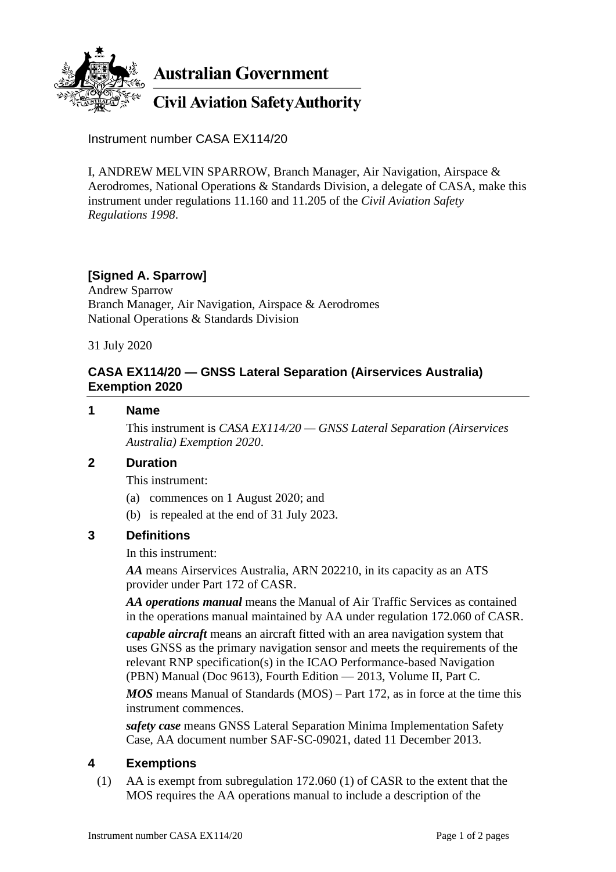

**Australian Government** 

**Civil Aviation Safety Authority** 

Instrument number CASA EX114/20

I, ANDREW MELVIN SPARROW, Branch Manager, Air Navigation, Airspace & Aerodromes, National Operations & Standards Division, a delegate of CASA, make this instrument under regulations 11.160 and 11.205 of the *Civil Aviation Safety Regulations 1998*.

## **[Signed A. Sparrow]**

Andrew Sparrow Branch Manager, Air Navigation, Airspace & Aerodromes National Operations & Standards Division

31 July 2020

### **CASA EX114/20 — GNSS Lateral Separation (Airservices Australia) Exemption 2020**

#### **1 Name**

This instrument is *CASA EX114/20 — GNSS Lateral Separation (Airservices Australia) Exemption 2020*.

#### **2 Duration**

This instrument:

- (a) commences on 1 August 2020; and
- (b) is repealed at the end of 31 July 2023.

#### **3 Definitions**

In this instrument:

*AA* means Airservices Australia, ARN 202210, in its capacity as an ATS provider under Part 172 of CASR.

*AA operations manual* means the Manual of Air Traffic Services as contained in the operations manual maintained by AA under regulation 172.060 of CASR.

*capable aircraft* means an aircraft fitted with an area navigation system that uses GNSS as the primary navigation sensor and meets the requirements of the relevant RNP specification(s) in the ICAO Performance-based Navigation (PBN) Manual (Doc 9613), Fourth Edition — 2013, Volume II, Part C.

*MOS* means Manual of Standards (MOS) – Part 172, as in force at the time this instrument commences.

*safety case* means GNSS Lateral Separation Minima Implementation Safety Case, AA document number SAF-SC-09021, dated 11 December 2013.

#### **4 Exemptions**

(1) AA is exempt from subregulation 172.060 (1) of CASR to the extent that the MOS requires the AA operations manual to include a description of the